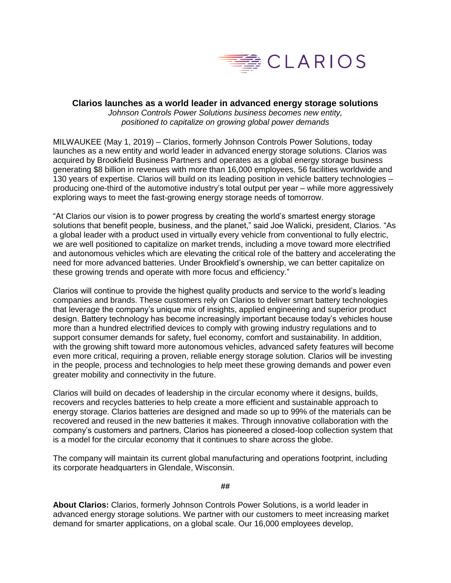

## **Clarios launches as a world leader in advanced energy storage solutions**

*Johnson Controls Power Solutions business becomes new entity, positioned to capitalize on growing global power demands*

MILWAUKEE (May 1, 2019) – Clarios, formerly Johnson Controls Power Solutions, today launches as a new entity and world leader in advanced energy storage solutions. Clarios was acquired by Brookfield Business Partners and operates as a global energy storage business generating \$8 billion in revenues with more than 16,000 employees, 56 facilities worldwide and 130 years of expertise. Clarios will build on its leading position in vehicle battery technologies – producing one-third of the automotive industry's total output per year – while more aggressively exploring ways to meet the fast-growing energy storage needs of tomorrow.

"At Clarios our vision is to power progress by creating the world's smartest energy storage solutions that benefit people, business, and the planet," said Joe Walicki, president, Clarios. "As a global leader with a product used in virtually every vehicle from conventional to fully electric, we are well positioned to capitalize on market trends, including a move toward more electrified and autonomous vehicles which are elevating the critical role of the battery and accelerating the need for more advanced batteries. Under Brookfield's ownership, we can better capitalize on these growing trends and operate with more focus and efficiency."

Clarios will continue to provide the highest quality products and service to the world's leading companies and brands. These customers rely on Clarios to deliver smart battery technologies that leverage the company's unique mix of insights, applied engineering and superior product design. Battery technology has become increasingly important because today's vehicles house more than a hundred electrified devices to comply with growing industry regulations and to support consumer demands for safety, fuel economy, comfort and sustainability. In addition, with the growing shift toward more autonomous vehicles, advanced safety features will become even more critical, requiring a proven, reliable energy storage solution. Clarios will be investing in the people, process and technologies to help meet these growing demands and power even greater mobility and connectivity in the future.

Clarios will build on decades of leadership in the circular economy where it designs, builds, recovers and recycles batteries to help create a more efficient and sustainable approach to energy storage. Clarios batteries are designed and made so up to 99% of the materials can be recovered and reused in the new batteries it makes. Through innovative collaboration with the company's customers and partners, Clarios has pioneered a closed-loop collection system that is a model for the circular economy that it continues to share across the globe.

The company will maintain its current global manufacturing and operations footprint, including its corporate headquarters in Glendale, Wisconsin.

**##**

**About Clarios:** Clarios, formerly Johnson Controls Power Solutions, is a world leader in advanced energy storage solutions. We partner with our customers to meet increasing market demand for smarter applications, on a global scale. Our 16,000 employees develop,